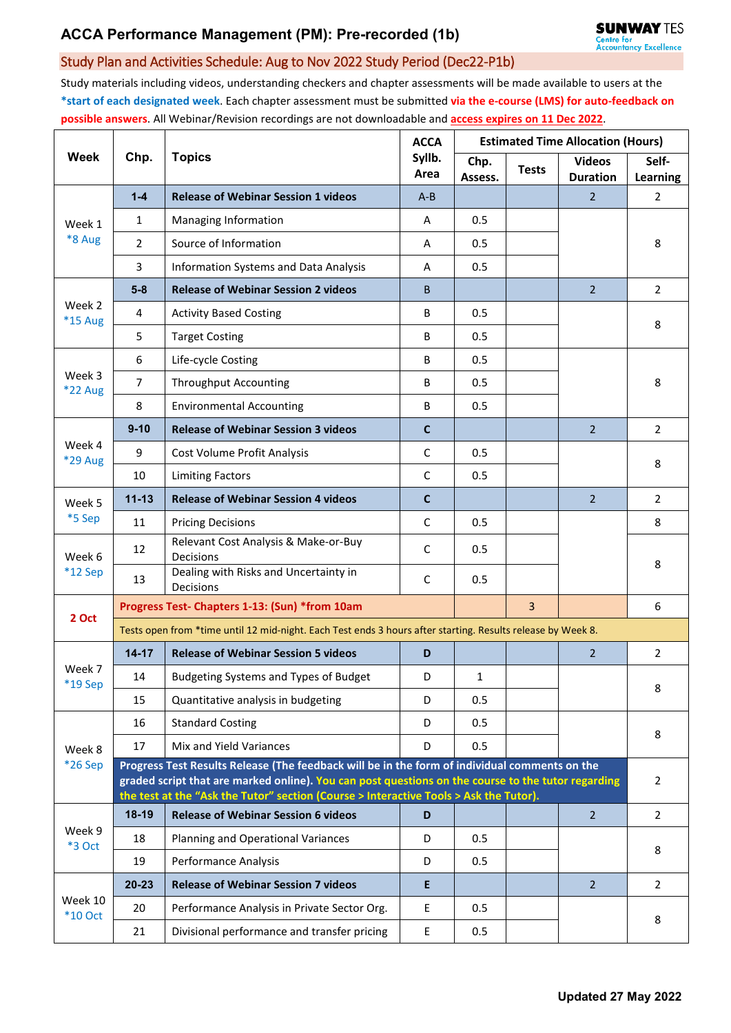## Study Plan and Activities Schedule: Aug to Nov 2022 Study Period (Dec22-P1b)

Study materials including videos, understanding checkers and chapter assessments will be made available to users at the **\*start of each designated week**. Each chapter assessment must be submitted **via the e-course (LMS) for auto-feedback on possible answers**. All Webinar/Revision recordings are not downloadable and **access expires on 11 Dec 2022**.

| Week                 | Chp.                                                                                                                                                                                                                                                                                         | <b>Topics</b>                                      | <b>ACCA</b><br>Syllb.<br>Area | <b>Estimated Time Allocation (Hours)</b> |              |                                  |                   |  |  |  |
|----------------------|----------------------------------------------------------------------------------------------------------------------------------------------------------------------------------------------------------------------------------------------------------------------------------------------|----------------------------------------------------|-------------------------------|------------------------------------------|--------------|----------------------------------|-------------------|--|--|--|
|                      |                                                                                                                                                                                                                                                                                              |                                                    |                               | Chp.<br>Assess.                          | <b>Tests</b> | <b>Videos</b><br><b>Duration</b> | Self-<br>Learning |  |  |  |
| Week 1<br>*8 Aug     | $1 - 4$                                                                                                                                                                                                                                                                                      | <b>Release of Webinar Session 1 videos</b>         | $A - B$                       |                                          |              | $\overline{2}$                   | 2                 |  |  |  |
|                      | 1                                                                                                                                                                                                                                                                                            | Managing Information                               | A                             | 0.5                                      |              |                                  |                   |  |  |  |
|                      | $\overline{2}$                                                                                                                                                                                                                                                                               | Source of Information                              | A                             | 0.5                                      |              |                                  | 8                 |  |  |  |
|                      | 3                                                                                                                                                                                                                                                                                            | Information Systems and Data Analysis              | A                             | 0.5                                      |              |                                  |                   |  |  |  |
| Week 2<br>*15 Aug    | $5-8$                                                                                                                                                                                                                                                                                        | <b>Release of Webinar Session 2 videos</b>         | B.                            |                                          |              | $\overline{2}$                   | $\overline{2}$    |  |  |  |
|                      | 4                                                                                                                                                                                                                                                                                            | <b>Activity Based Costing</b>                      | В                             | 0.5                                      |              |                                  | 8                 |  |  |  |
|                      | 5                                                                                                                                                                                                                                                                                            | <b>Target Costing</b>                              | B                             | 0.5                                      |              |                                  |                   |  |  |  |
| Week 3<br>*22 Aug    | 6                                                                                                                                                                                                                                                                                            | Life-cycle Costing                                 | B                             | 0.5                                      |              |                                  |                   |  |  |  |
|                      | $\overline{7}$                                                                                                                                                                                                                                                                               | <b>Throughput Accounting</b>                       | В                             | 0.5                                      |              |                                  | 8                 |  |  |  |
|                      | 8                                                                                                                                                                                                                                                                                            | <b>Environmental Accounting</b>                    | В                             | 0.5                                      |              |                                  |                   |  |  |  |
|                      | $9 - 10$                                                                                                                                                                                                                                                                                     | <b>Release of Webinar Session 3 videos</b>         | $\mathbf c$                   |                                          |              | $\overline{2}$                   | $\overline{2}$    |  |  |  |
| Week 4<br>*29 Aug    | 9                                                                                                                                                                                                                                                                                            | Cost Volume Profit Analysis                        | $\mathsf C$                   | 0.5                                      |              |                                  | 8                 |  |  |  |
|                      | 10                                                                                                                                                                                                                                                                                           | <b>Limiting Factors</b>                            | $\mathsf{C}$                  | 0.5                                      |              |                                  |                   |  |  |  |
| Week 5<br>*5 Sep     | $11 - 13$                                                                                                                                                                                                                                                                                    | <b>Release of Webinar Session 4 videos</b>         | $\mathbf c$                   |                                          |              | $\overline{2}$                   | $\overline{2}$    |  |  |  |
|                      | 11                                                                                                                                                                                                                                                                                           | <b>Pricing Decisions</b>                           | $\mathsf{C}$                  | 0.5                                      |              |                                  | 8                 |  |  |  |
| Week 6<br>$*12$ Sep  | 12                                                                                                                                                                                                                                                                                           | Relevant Cost Analysis & Make-or-Buy<br>Decisions  | C                             | 0.5                                      |              |                                  | 8                 |  |  |  |
|                      | 13                                                                                                                                                                                                                                                                                           | Dealing with Risks and Uncertainty in<br>Decisions | C                             | 0.5                                      |              |                                  |                   |  |  |  |
| 2 Oct                | Progress Test- Chapters 1-13: (Sun) *from 10am<br>3                                                                                                                                                                                                                                          |                                                    |                               |                                          |              |                                  |                   |  |  |  |
|                      | Tests open from *time until 12 mid-night. Each Test ends 3 hours after starting. Results release by Week 8.                                                                                                                                                                                  |                                                    |                               |                                          |              |                                  |                   |  |  |  |
| Week 7<br>*19 Sep    | $14 - 17$                                                                                                                                                                                                                                                                                    | <b>Release of Webinar Session 5 videos</b>         | D                             |                                          |              | $\overline{2}$                   | $\overline{2}$    |  |  |  |
|                      | 14                                                                                                                                                                                                                                                                                           | Budgeting Systems and Types of Budget              | D                             | 1                                        |              |                                  | 8                 |  |  |  |
|                      | 15                                                                                                                                                                                                                                                                                           | Quantitative analysis in budgeting                 | D                             | 0.5                                      |              |                                  |                   |  |  |  |
| Week 8<br>*26 Sep    | 16                                                                                                                                                                                                                                                                                           | <b>Standard Costing</b>                            | D                             | 0.5                                      |              |                                  | 8                 |  |  |  |
|                      | 17                                                                                                                                                                                                                                                                                           | Mix and Yield Variances                            | D                             | 0.5                                      |              |                                  |                   |  |  |  |
|                      | Progress Test Results Release (The feedback will be in the form of individual comments on the<br>graded script that are marked online). You can post questions on the course to the tutor regarding<br>the test at the "Ask the Tutor" section (Course > Interactive Tools > Ask the Tutor). |                                                    |                               |                                          |              |                                  |                   |  |  |  |
| Week 9<br>*3 Oct     | $18-19$                                                                                                                                                                                                                                                                                      | <b>Release of Webinar Session 6 videos</b>         | D                             |                                          |              | $\overline{2}$                   | $\overline{2}$    |  |  |  |
|                      | 18                                                                                                                                                                                                                                                                                           | Planning and Operational Variances                 | D                             | 0.5                                      |              |                                  |                   |  |  |  |
|                      | 19                                                                                                                                                                                                                                                                                           | Performance Analysis                               | D                             | 0.5                                      |              |                                  | 8                 |  |  |  |
| Week 10<br>$*10$ Oct | 20-23                                                                                                                                                                                                                                                                                        | <b>Release of Webinar Session 7 videos</b>         | E                             |                                          |              | $\overline{2}$                   | $\overline{2}$    |  |  |  |
|                      | 20                                                                                                                                                                                                                                                                                           | Performance Analysis in Private Sector Org.        | $\mathsf E$                   | 0.5                                      |              |                                  |                   |  |  |  |
|                      | 21                                                                                                                                                                                                                                                                                           | Divisional performance and transfer pricing        | E                             | 0.5                                      |              |                                  | 8                 |  |  |  |